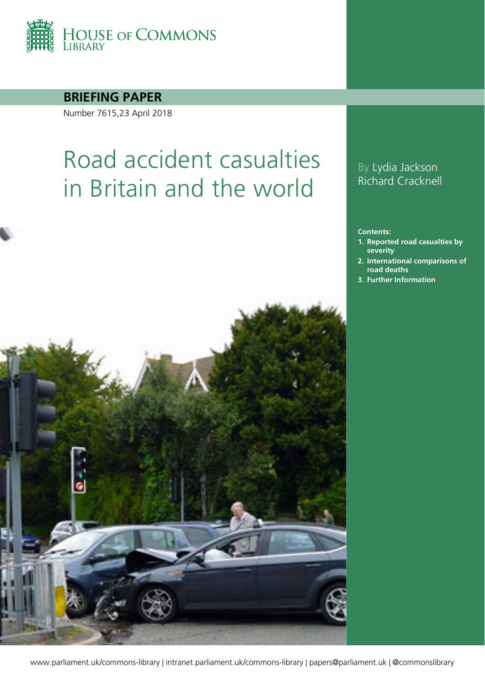

**BRIEFING PAPER**

Number 7615,23 April 2018

# Road accident casualties in Britain and the world



### By Lydia Jackson Richard Cracknell

**Contents:**

- **1. [Reported road casualties by](#page-3-0)  [severity](#page-3-0)**
- **2. [International comparisons of](#page-5-0)  [road deaths](#page-5-0)**
- **3. Further Information**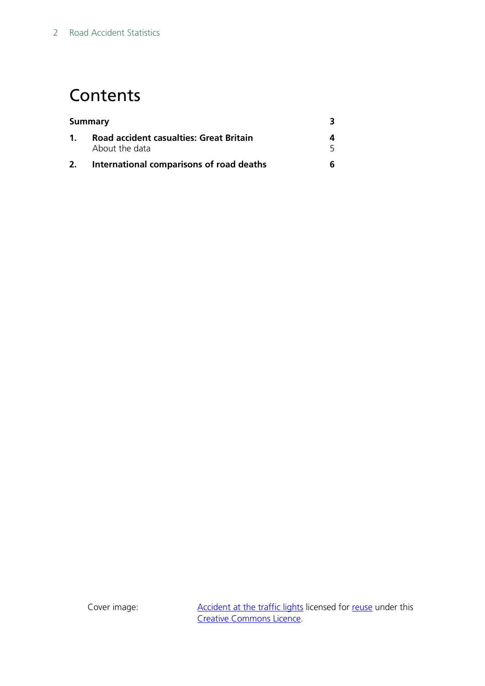## **Contents**

|                | International comparisons of road deaths                  |  |
|----------------|-----------------------------------------------------------|--|
| $\mathbf{1}$ . | Road accident casualties: Great Britain<br>About the data |  |
| Summary        |                                                           |  |

Cover image: [Accident at the traffic lights](http://www.geograph.org.uk/photo/2986964) licensed for [reuse](http://www.geograph.org.uk/reuse.php?id=2986964) under this [Creative Commons Licence.](http://creativecommons.org/licenses/by-sa/2.0/)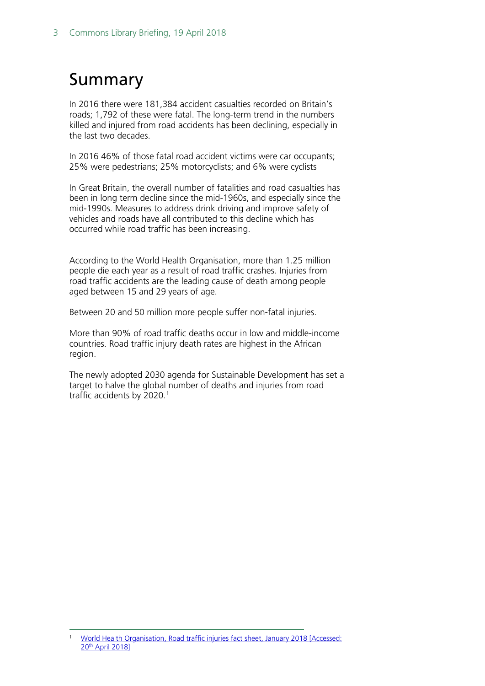# <span id="page-2-0"></span>Summary

In 2016 there were 181,384 accident casualties recorded on Britain's roads; 1,792 of these were fatal. The long-term trend in the numbers killed and injured from road accidents has been declining, especially in the last two decades.

In 2016 46% of those fatal road accident victims were car occupants; 25% were pedestrians; 25% motorcyclists; and 6% were cyclists

In Great Britain, the overall number of fatalities and road casualties has been in long term decline since the mid-1960s, and especially since the mid-1990s. Measures to address drink driving and improve safety of vehicles and roads have all contributed to this decline which has occurred while road traffic has been increasing.

According to the World Health Organisation, more than 1.25 million people die each year as a result of road traffic crashes. Injuries from road traffic accidents are the leading cause of death among people aged between 15 and 29 years of age.

Between 20 and 50 million more people suffer non-fatal injuries.

More than 90% of road traffic deaths occur in low and middle-income countries. Road traffic injury death rates are highest in the African region.

The newly adopted 2030 agenda for Sustainable Development has set a target to halve the global number of deaths and injuries from road traffic accidents by 2020.<sup>[1](#page-2-1)</sup>

<span id="page-2-1"></span> <sup>1</sup> [World Health Organisation, Road traffic injuries fact sheet, January 2018 \[Accessed:](http://www.who.int/mediacentre/factsheets/fs358/en/)  20th [April 2018\]](http://www.who.int/mediacentre/factsheets/fs358/en/)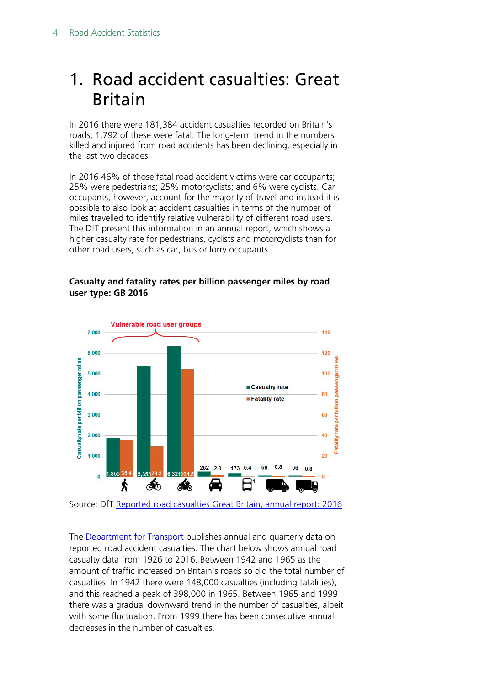### <span id="page-3-0"></span>1. Road accident casualties: Great Britain

In 2016 there were 181,384 accident casualties recorded on Britain's roads; 1,792 of these were fatal. The long-term trend in the numbers killed and injured from road accidents has been declining, especially in the last two decades.

In 2016 46% of those fatal road accident victims were car occupants; 25% were pedestrians; 25% motorcyclists; and 6% were cyclists. Car occupants, however, account for the majority of travel and instead it is possible to also look at accident casualties in terms of the number of miles travelled to identify relative vulnerability of different road users. The DfT present this information in an annual report, which shows a higher casualty rate for pedestrians, cyclists and motorcyclists than for other road users, such as car, bus or lorry occupants.

#### **Casualty and fatality rates per billion passenger miles by road user type: GB 2016**



Source: DfT [Reported road casualties Great Britain, annual report: 2016](https://www.gov.uk/government/statistics/reported-road-casualties-great-britain-annual-report-2016)

The **Department for Transport** publishes annual and quarterly data on reported road accident casualties. The chart below shows annual road casualty data from 1926 to 2016. Between 1942 and 1965 as the amount of traffic increased on Britain's roads so did the total number of casualties. In 1942 there were 148,000 casualties (including fatalities), and this reached a peak of 398,000 in 1965. Between 1965 and 1999 there was a gradual downward trend in the number of casualties, albeit with some fluctuation. From 1999 there has been consecutive annual decreases in the number of casualties.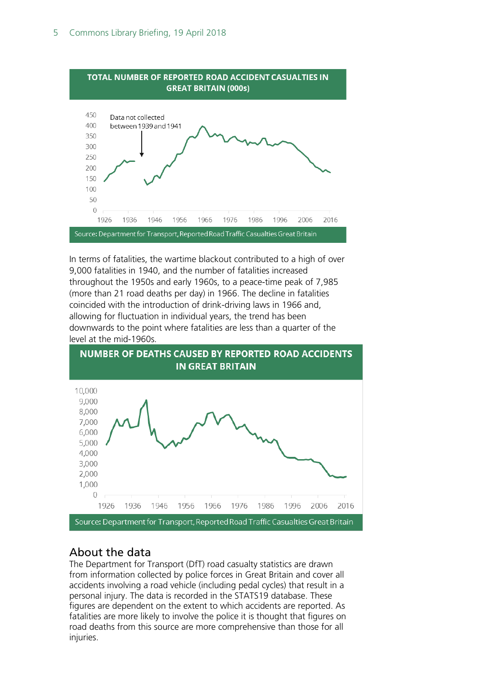

In terms of fatalities, the wartime blackout contributed to a high of over 9,000 fatalities in 1940, and the number of fatalities increased throughout the 1950s and early 1960s, to a peace-time peak of 7,985 (more than 21 road deaths per day) in 1966. The decline in fatalities coincided with the introduction of drink-driving laws in 1966 and, allowing for fluctuation in individual years, the trend has been downwards to the point where fatalities are less than a quarter of the level at the mid-1960s.



### <span id="page-4-0"></span>About the data

The Department for Transport (DfT) road casualty statistics are drawn from information collected by police forces in Great Britain and cover all accidents involving a road vehicle (including pedal cycles) that result in a personal injury. The data is recorded in the STATS19 database. These figures are dependent on the extent to which accidents are reported. As fatalities are more likely to involve the police it is thought that figures on road deaths from this source are more comprehensive than those for all injuries.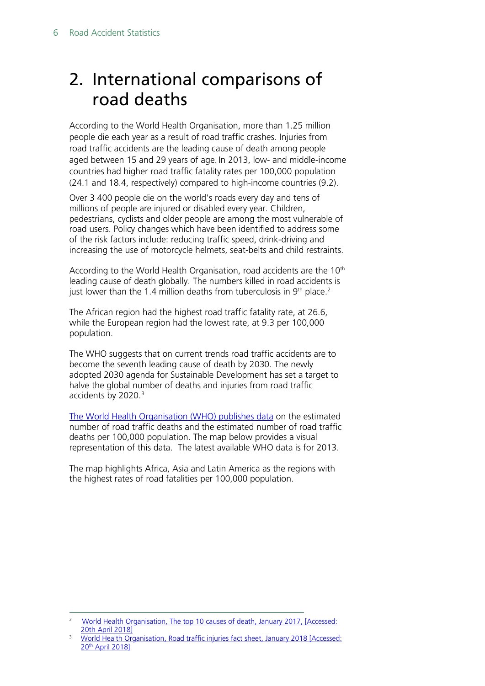## <span id="page-5-0"></span>2. International comparisons of road deaths

According to the World Health Organisation, more than 1.25 million people die each year as a result of road traffic crashes. Injuries from road traffic accidents are the leading cause of death among people aged between 15 and 29 years of age. In 2013, low- and middle-income countries had higher road traffic fatality rates per 100,000 population (24.1 and 18.4, respectively) compared to high-income countries (9.2).

Over 3 400 people die on the world's roads every day and tens of millions of people are injured or disabled every year. Children, pedestrians, cyclists and older people are among the most vulnerable of road users. Policy changes which have been identified to address some of the risk factors include: reducing traffic speed, drink-driving and increasing the use of motorcycle helmets, seat-belts and child restraints.

According to the World Health Organisation, road accidents are the 10<sup>th</sup> leading cause of death globally. The numbers killed in road accidents is just lower than the 1.4 million deaths from tuberculosis in  $9<sup>th</sup>$  place.<sup>2</sup>

The African region had the highest road traffic fatality rate, at 26.6, while the European region had the lowest rate, at 9.3 per 100,000 population.

The WHO suggests that on current trends road traffic accidents are to become the seventh leading cause of death by 2030. The newly adopted 2030 agenda for Sustainable Development has set a target to halve the global number of deaths and injuries from road traffic accidents by 2020.<sup>[3](#page-5-2)</sup>

[The World Health Organisation \(WHO\) publishes data](http://www.who.int/gho/road_safety/en/) on the estimated number of road traffic deaths and the estimated number of road traffic deaths per 100,000 population. The map below provides a visual representation of this data. The latest available WHO data is for 2013.

The map highlights Africa, Asia and Latin America as the regions with the highest rates of road fatalities per 100,000 population.

<span id="page-5-1"></span> <sup>2</sup> [World Health Organisation, The top 10 causes of death, January 2017, \[Accessed:](http://www.who.int/mediacentre/factsheets/fs310/en/)  [20th April 2018\]](http://www.who.int/mediacentre/factsheets/fs310/en/)

<span id="page-5-2"></span><sup>&</sup>lt;sup>3</sup> World Health Organisation, Road traffic injuries fact sheet, January 2018 [Accessed: 20th [April 2018\]](http://www.who.int/mediacentre/factsheets/fs358/en/)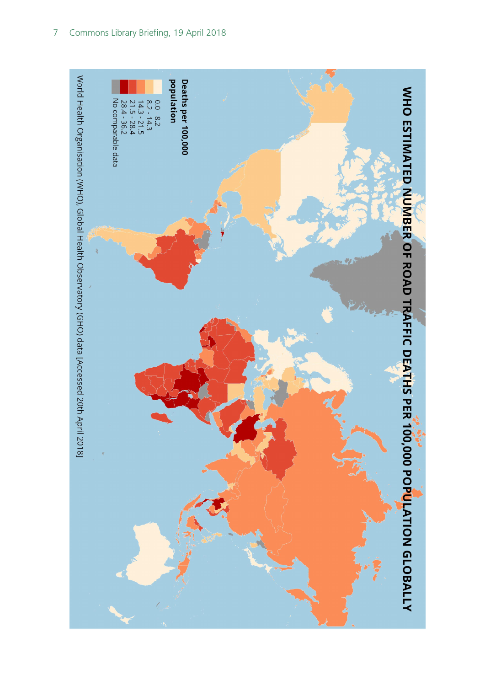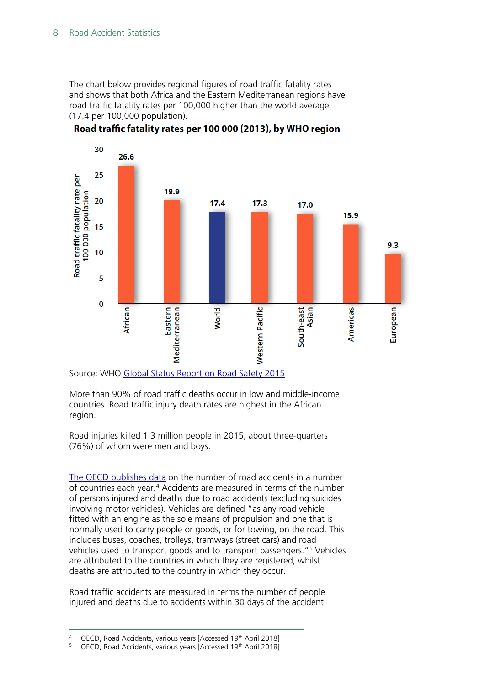The chart below provides regional figures of road traffic fatality rates and shows that both Africa and the Eastern Mediterranean regions have road traffic fatality rates per 100,000 higher than the world average (17.4 per 100,000 population).



Road traffic fatality rates per 100 000 (2013), by WHO region

Source: WHO [Global Status Report on Road Safety 2015](http://www.who.int/violence_injury_prevention/road_safety_status/2015/GSRRS2015_Summary_EN_final2.pdf?ua=1)

More than 90% of road traffic deaths occur in low and middle-income countries. Road traffic injury death rates are highest in the African region.

Road injuries killed 1.3 million people in 2015, about three-quarters (76%) of whom were men and boys.

[The OECD publishes data](https://data.oecd.org/transport/road-accidents.htm) on the number of road accidents in a number of countries each year.[4](#page-7-0) Accidents are measured in terms of the number of persons injured and deaths due to road accidents (excluding suicides involving motor vehicles). Vehicles are defined "as any road vehicle fitted with an engine as the sole means of propulsion and one that is normally used to carry people or goods, or for towing, on the road. This includes buses, coaches, trolleys, tramways (street cars) and road vehicles used to transport goods and to transport passengers."[5](#page-7-1) Vehicles are attributed to the countries in which they are registered, whilst deaths are attributed to the country in which they occur.

Road traffic accidents are measured in terms the number of people injured and deaths due to accidents within 30 days of the accident.

<span id="page-7-1"></span><span id="page-7-0"></span><sup>4</sup> OECD, Road Accidents, various years [Accessed 19<sup>th</sup> April 2018]

OECD, Road Accidents, various years [Accessed 19th April 2018]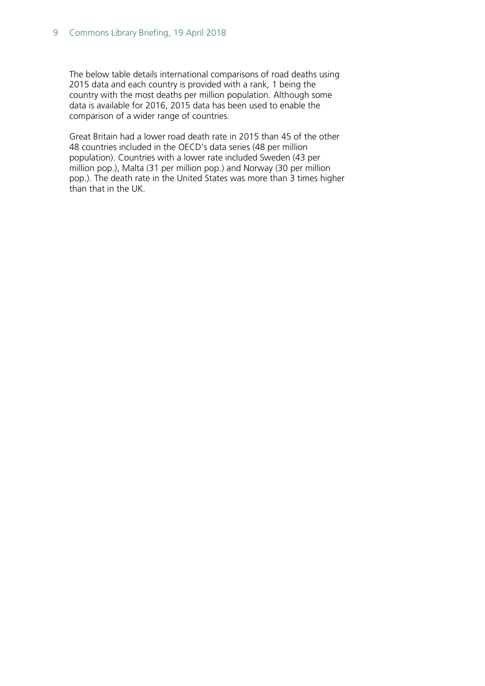The below table details international comparisons of road deaths using 2015 data and each country is provided with a rank, 1 being the country with the most deaths per million population. Although some data is available for 2016, 2015 data has been used to enable the comparison of a wider range of countries.

Great Britain had a lower road death rate in 2015 than 45 of the other 48 countries included in the OECD's data series (48 per million population). Countries with a lower rate included Sweden (43 per million pop.), Malta (31 per million pop.) and Norway (30 per million pop.). The death rate in the United States was more than 3 times higher than that in the UK.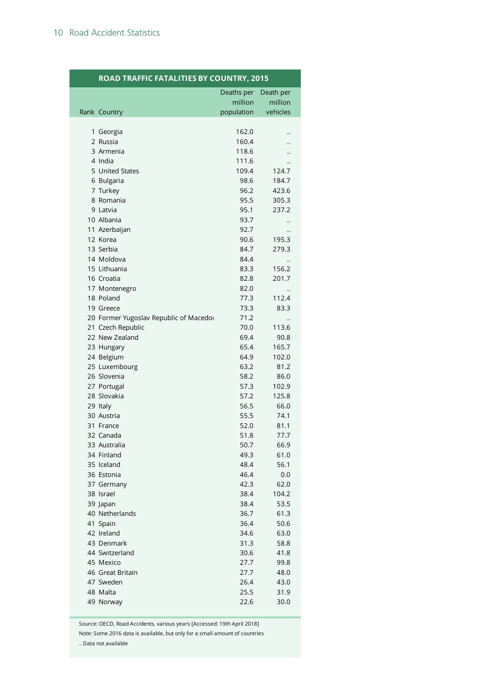#### **ROAD TRAFFIC FATALITIES BY COUNTRY, 2015**

|                                        | Deaths per   | Death per |
|----------------------------------------|--------------|-----------|
|                                        | million      | million   |
| Rank Country                           | population   | vehicles  |
|                                        |              |           |
| 1 Georgia                              | 162.0        |           |
| 2 Russia                               | 160.4        |           |
| 3 Armenia                              | 118.6        |           |
| 4 India                                | 111.6        |           |
| 5 United States                        | 109.4        | 124.7     |
| 6 Bulgaria                             | 98.6         | 184.7     |
| 7 Turkey                               | 96.2         | 423.6     |
| 8 Romania                              | 95.5         | 305.3     |
| 9 Latvia                               | 95.1         | 237.2     |
| 10 Albania                             | 93.7         |           |
| 11 Azerbaijan                          | 92.7         |           |
| 12 Korea                               | 90.6         | 195.3     |
| 13 Serbia                              | 84.7         | 279.3     |
| 14 Moldova                             | 84.4         |           |
| 15 Lithuania                           | 83.3         | 156.2     |
| 16 Croatia                             | 82.8         | 201.7     |
| 17 Montenegro                          | 82.0         |           |
| 18 Poland                              | 77.3         | 112.4     |
| 19 Greece                              | 73.3         | 83.3      |
| 20 Former Yugoslav Republic of Macedor | 71.2         |           |
| 21 Czech Republic                      | 70.0         | 113.6     |
| 22 New Zealand                         | 69.4         | 90.8      |
| 23 Hungary                             | 65.4         | 165.7     |
| 24 Belgium                             | 64.9         | 102.0     |
| 25 Luxembourg                          | 63.2         | 81.2      |
| 26 Slovenia                            | 58.2         | 86.0      |
| 27 Portugal                            | 57.3         | 102.9     |
| 28 Slovakia                            | 57.2         | 125.8     |
| 29 Italy                               | 56.5         | 66.0      |
| 30 Austria                             | 55.5         | 74.1      |
| 31 France                              | 52.0         | 81.1      |
| 32 Canada                              | 51.8         | 77.7      |
| 33 Australia                           | 50.7         | 66.9      |
| 34 Finland                             | 49.3         | 61.0      |
| 35 Iceland                             | 48.4         | 56.1      |
| 36 Estonia                             | 46.4         | 0.0       |
| 37 Germany                             | 42.3         | 62.0      |
| 38 Israel                              | 38.4         | 104.2     |
| 39 Japan                               | 38.4         | 53.5      |
| 40 Netherlands                         | 36.7         | 61.3      |
| 41 Spain                               | 36.4         | 50.6      |
| 42 Ireland                             | 34.6         | 63.0      |
| 43 Denmark                             |              | 58.8      |
| 44 Switzerland                         | 31.3<br>30.6 | 41.8      |
| 45 Mexico                              |              |           |
|                                        | 27.7         | 99.8      |
| 46 Great Britain<br>47 Sweden          | 27.7         | 48.0      |
| 48 Malta                               | 26.4         | 43.0      |
|                                        | 25.5         | 31.9      |
| 49 Norway                              | 22.6         | 30.0      |

Source: OECD, Road Accidents, various years [Accessed: 19th April 2018]

Note: Some 2016 data is available, but only for a small amount of countries

.. Data not available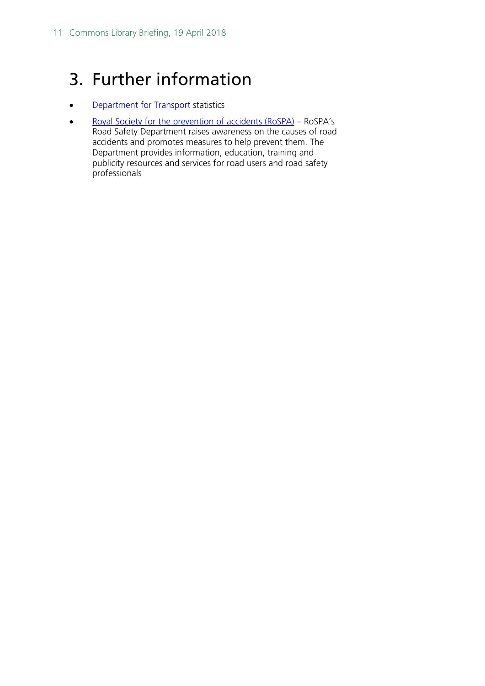# 3. Further information

- [Department for Transport](https://www.gov.uk/government/organisations/department-for-transport) statistics
- [Royal Society for the prevention of accidents \(RoSPA\)](https://www.rospa.com/) RoSPA's Road Safety Department raises awareness on the causes of road accidents and promotes measures to help prevent them. The Department provides information, education, training and publicity resources and services for road users and road safety professionals